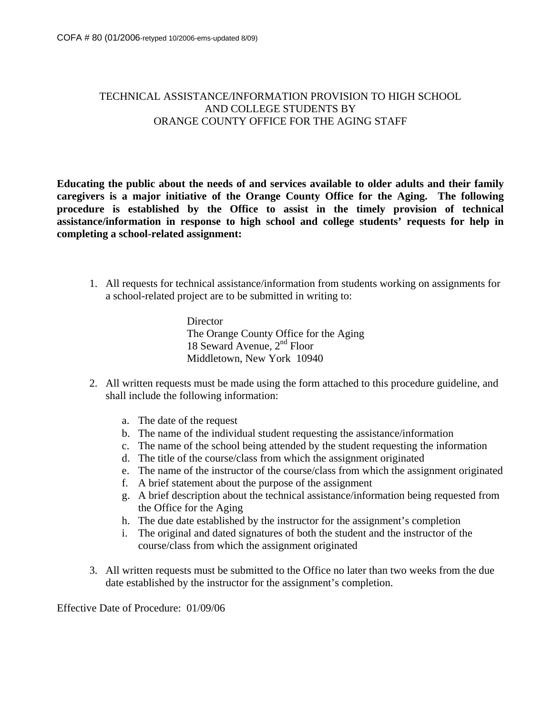## TECHNICAL ASSISTANCE/INFORMATION PROVISION TO HIGH SCHOOL AND COLLEGE STUDENTS BY ORANGE COUNTY OFFICE FOR THE AGING STAFF

**Educating the public about the needs of and services available to older adults and their family caregivers is a major initiative of the Orange County Office for the Aging. The following procedure is established by the Office to assist in the timely provision of technical assistance/information in response to high school and college students' requests for help in completing a school-related assignment:** 

1. All requests for technical assistance/information from students working on assignments for a school-related project are to be submitted in writing to:

> **Director** The Orange County Office for the Aging 18 Seward Avenue, 2<sup>nd</sup> Floor Middletown, New York 10940

- 2. All written requests must be made using the form attached to this procedure guideline, and shall include the following information:
	- a. The date of the request
	- b. The name of the individual student requesting the assistance/information
	- c. The name of the school being attended by the student requesting the information
	- d. The title of the course/class from which the assignment originated
	- e. The name of the instructor of the course/class from which the assignment originated
	- f. A brief statement about the purpose of the assignment
	- g. A brief description about the technical assistance/information being requested from the Office for the Aging
	- h. The due date established by the instructor for the assignment's completion
	- i. The original and dated signatures of both the student and the instructor of the course/class from which the assignment originated
- 3. All written requests must be submitted to the Office no later than two weeks from the due date established by the instructor for the assignment's completion.

Effective Date of Procedure: 01/09/06